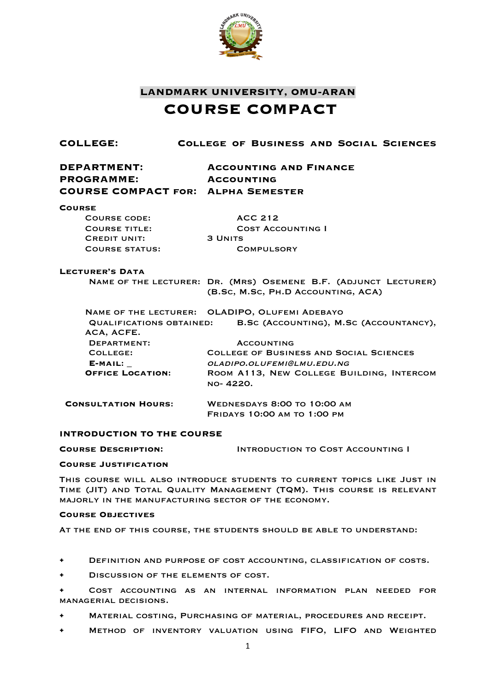

## **LANDMARK UNIVERSITY, OMU-ARAN COURSE COMPACT**

| COLLEGE:                                                                             | COLLEGE OF BUSINESS AND SOCIAL SCIENCES                                                               |
|--------------------------------------------------------------------------------------|-------------------------------------------------------------------------------------------------------|
| <b>DEPARTMENT:</b><br><b>PROGRAMME:</b><br><b>COURSE COMPACT FOR: ALPHA SEMESTER</b> | <b>ACCOUNTING AND FINANCE</b><br><b>ACCOUNTING</b>                                                    |
| <b>COURSE</b>                                                                        |                                                                                                       |
| <b>COURSE CODE:</b>                                                                  | <b>ACC 212</b>                                                                                        |
| <b>COURSE TITLE:</b>                                                                 | <b>COST ACCOUNTING I</b>                                                                              |
| <b>CREDIT UNIT:</b>                                                                  | <b>3 UNITS</b>                                                                                        |
| <b>COURSE STATUS:</b>                                                                | <b>COMPULSORY</b>                                                                                     |
| <b>LECTURER'S DATA</b>                                                               |                                                                                                       |
|                                                                                      | NAME OF THE LECTURER: DR. (MRS) OSEMENE B.F. (ADJUNCT LECTURER)<br>(B.Sc, M.Sc, PH.D ACCOUNTING, ACA) |
|                                                                                      | NAME OF THE LECTURER: OLADIPO, OLUFEMI ADEBAYO                                                        |
| <b>QUALIFICATIONS OBTAINED:</b><br>ACA, ACFE.                                        | B.SC (ACCOUNTING), M.SC (ACCOUNTANCY),                                                                |
| DEPARTMENT:                                                                          | <b>ACCOUNTING</b>                                                                                     |
| COLLEGE:                                                                             | <b>COLLEGE OF BUSINESS AND SOCIAL SCIENCES</b>                                                        |
| E-MAIL:                                                                              | OLADIPO.OLUFEMI@LMU.EDU.NG                                                                            |
| <b>OFFICE LOCATION:</b>                                                              | ROOM A113, NEW COLLEGE BUILDING, INTERCOM                                                             |
|                                                                                      | NO-4220.                                                                                              |
| <b>CONSULTATION HOURS:</b>                                                           | <b>WEDNESDAYS 8:00 TO 10:00 AM</b>                                                                    |

## **INTRODUCTION TO THE COURSE**

**Course Description:** Introduction to Cost Accounting I

#### **Course Justification**

This course will also introduce students to current topics like Just in Time (JIT) and Total Quality Management (TQM). This course is relevant majorly in the manufacturing sector of the economy.

Fridays 10:00 am to 1:00 pm

#### **Course Objectives**

At the end of this course, the students should be able to understand:

- DEFINITION AND PURPOSE OF COST ACCOUNTING, CLASSIFICATION OF COSTS.
- DISCUSSION OF THE ELEMENTS OF COST.

• Cost accounting as an internal information plan needed for managerial decisions.

- Material costing, Purchasing of material, procedures and receipt.
- Method of inventory valuation using FIFO, LIFO and Weighted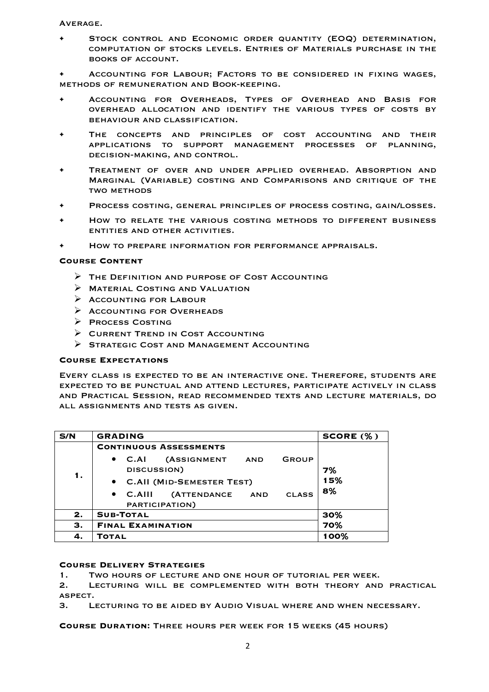Average.

• Stock control and Economic order quantity (EOQ) determination, computation of stocks levels. Entries of Materials purchase in the books of account.

• Accounting for Labour; Factors to be considered in fixing wages, methods of remuneration and Book-keeping.

- Accounting for Overheads, Types of Overhead and Basis for overhead allocation and identify the various types of costs by behaviour and classification.
- The concepts and principles of cost accounting and their applications to support management processes of planning, decision-making, and control.
- Treatment of over and under applied overhead. Absorption and Marginal (Variable) costing and Comparisons and critique of the **TWO METHODS**
- Process costing, general principles of process costing, gain/losses.
- How to relate the various costing methods to different business entities and other activities.
- How to prepare information for performance appraisals.

#### **Course Content**

- $\triangleright$  THE DEFINITION AND PURPOSE OF COST ACCOUNTING
- $\triangleright$  MATERIAL COSTING AND VALUATION
- $\triangleright$  ACCOUNTING FOR LABOUR
- Ø Accounting for Overheads
- Ø Process Costing
- $\triangleright$  CURRENT TREND IN COST ACCOUNTING
- Ø Strategic Cost and Management Accounting

#### **Course Expectations**

Every class is expected to be an interactive one. Therefore, students are expected to be punctual and attend lectures, participate actively in class and Practical Session, read recommended texts and lecture materials, do all assignments and tests as given.

| S/N | <b>GRADING</b>                                                                  | SCORE (%) |
|-----|---------------------------------------------------------------------------------|-----------|
|     | <b>CONTINUOUS ASSESSMENTS</b>                                                   |           |
| 1.  | <b>(ASSIGNMENT</b><br>$\bullet$ C.AI<br>GROUP<br>AND<br>DISCUSSION)             | 7%        |
|     | • C.All (MID-SEMESTER TEST)                                                     | 15%       |
|     | <b>(ATTENDANCE</b><br>$\bullet$ C.AIII<br><b>CLASS</b><br>AND<br>PARTICIPATION) | 8%        |
| 2.  | <b>SUB-TOTAL</b>                                                                | 30%       |
| З.  | <b>FINAL EXAMINATION</b>                                                        | 70%       |
| 4.  | TOTAL                                                                           | 100%      |

#### **Course Delivery Strategies**

1. Two hours of lecture and one hour of tutorial per week.

2. Lecturing will be complemented with both theory and practical aspect.

3. Lecturing to be aided by Audio Visual where and when necessary.

**Course Duration:** Three hours per week for 15 weeks (45 hours)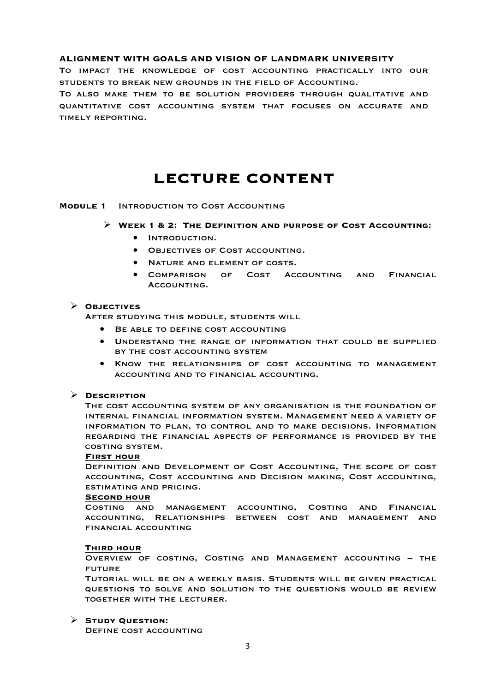## **ALIGNMENT WITH GOALS AND VISION OF LANDMARK UNIVERSITY**

To impact the knowledge of cost accounting practically into our students to break new grounds in the field of Accounting.

To also make them to be solution providers through qualitative and quantitative cost accounting system that focuses on accurate and timely reporting.

# **LECTURE CONTENT**

#### **Module 1** Introduction to Cost Accounting

#### Ø **Week 1 & 2: The Definition and purpose of Cost Accounting:**

- Introduction.
- Objectives of Cost accounting.
- Nature and element of costs.
- Comparison of Cost Accounting and Financial Accounting.

#### Ø **Objectives**

After studying this module, students will

- Be able to define cost accounting
- Understand the range of information that could be supplied by the cost accounting system
- Know the relationships of cost accounting to management accounting and to financial accounting.

## Ø **Description**

The cost accounting system of any organisation is the foundation of internal financial information system. Management need a variety of information to plan, to control and to make decisions. Information regarding the financial aspects of performance is provided by the costing system.

#### **First hour**

Definition and Development of Cost Accounting, The scope of cost accounting, Cost accounting and Decision making, Cost accounting, estimating and pricing.

#### **Second hour**

Costing and management accounting, Costing and Financial accounting, Relationships between cost and management and financial accounting

#### **Third hour**

Overview of costing, Costing and Management accounting – the future

Tutorial will be on a weekly basis. Students will be given practical questions to solve and solution to the questions would be review together with the lecturer.

## Ø **Study Question:**

Define cost accounting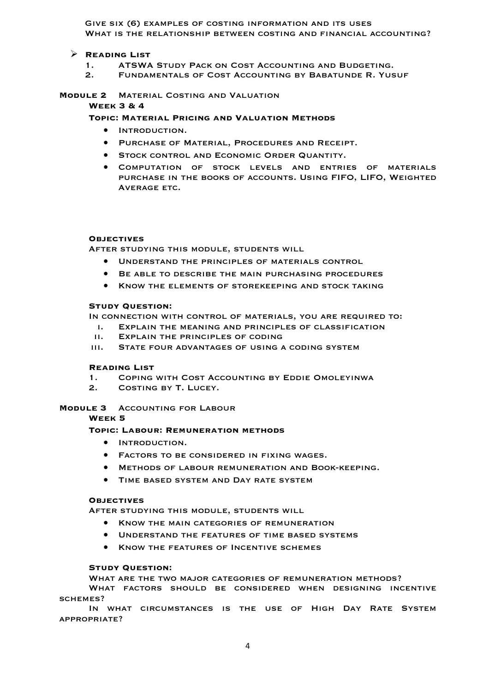Give six (6) examples of costing information and its uses WHAT IS THE RELATIONSHIP BETWEEN COSTING AND FINANCIAL ACCOUNTING?

## Ø **Reading List**

- 1. ATSWA STUDY PACK ON COST ACCOUNTING AND BUDGETING.<br>2. FUNDAMENTALS OF COST ACCOUNTING BY BABATUNDE R. VUS
- FUNDAMENTALS OF COST ACCOUNTING BY BABATUNDE R. YUSUF

#### **Module 2** Material Costing and Valuation **Week 3 & 4**

## **Topic: Material Pricing and Valuation Methods**

- Introduction.
- Purchase of Material, Procedures and Receipt.
- **STOCK CONTROL AND ECONOMIC ORDER QUANTITY.**
- Computation of stock levels and entries of materials purchase in the books of accounts. Using FIFO, LIFO, Weighted Average etc.

#### **Objectives**

After studying this module, students will

- Understand the principles of materials control
- Be able to describe the main purchasing procedures
- Know the elements of storekeeping and stock taking

#### **Study Question:**

In connection with control of materials, you are required to:

- i. Explain the meaning and principles of classification
- ii. Explain the principles of coding
- iii. State four advantages of using a coding system

## **Reading List**

- 1. Coping with Cost Accounting by Eddie Omoleyinwa
- 2. Costing by T. Lucey.

## **Module 3** Accounting for Labour

**Week 5**

## **Topic: Labour: Remuneration methods**

- Introduction.
- Factors to be considered in fixing wages.
- Methods of labour remuneration and Book-keeping.
- TIME BASED SYSTEM AND DAY RATE SYSTEM

## **Objectives**

After studying this module, students will

- Know the main categories of remuneration
- UNDERSTAND THE FEATURES OF TIME BASED SYSTEMS
- Know the features of Incentive schemes

## **Study Question:**

What are the two major categories of remuneration methods?

What factors should be considered when designing incentive schemes?

In what circumstances is the use of High Day Rate System appropriate?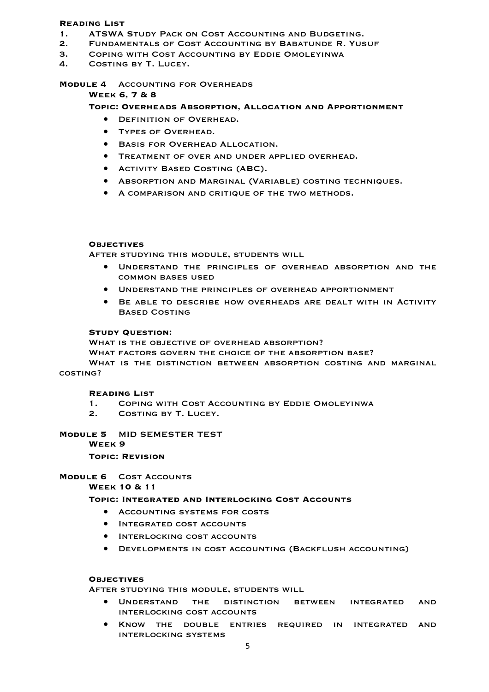## **Reading List**

- 1. ATSWA Study Pack on Cost Accounting and Budgeting.
- 2. Fundamentals of Cost Accounting by Babatunde R. Yusuf
- 3. Coping with Cost Accounting by Eddie Omoleyinwa
- 4. Costing by T. Lucey.

#### **Module 4** Accounting for Overheads

## **Week 6, 7 & 8**

#### **Topic: Overheads Absorption, Allocation and Apportionment**

- **DEFINITION OF OVERHEAD.**
- Types of Overhead.
- Basis for Overhead Allocation.
- Treatment of over and under applied overhead.
- Activity Based Costing (ABC).
- Absorption and Marginal (Variable) costing techniques.
- A comparison and critique of the two methods.

#### **Objectives**

After studying this module, students will

- Understand the principles of overhead absorption and the common bases used
- Understand the principles of overhead apportionment
- Be able to describe how overheads are dealt with in Activity Based Costing

#### **Study Question:**

WHAT IS THE OBJECTIVE OF OVERHEAD ABSORPTION?

What factors govern the choice of the absorption base?

WHAT IS THE DISTINCTION BETWEEN ABSORPTION COSTING AND MARGINAL costing?

#### **Reading List**

- 1. Coping with Cost Accounting by Eddie Omoleyinwa
- 2. Costing by T. Lucey.

## **Module 5** MID SEMESTER TEST

**Week 9**

## **Topic: Revision**

## **Module 6** Cost Accounts

**Week 10 & 11**

## **Topic: Integrated and Interlocking Cost Accounts**

- Accounting systems for costs
- Integrated cost accounts
- Interlocking cost accounts
- Developments in cost accounting (Backflush accounting)

## **Objectives**

After studying this module, students will

- Understand the distinction between integrated and interlocking cost accounts
- Know the double entries required in integrated and interlocking systems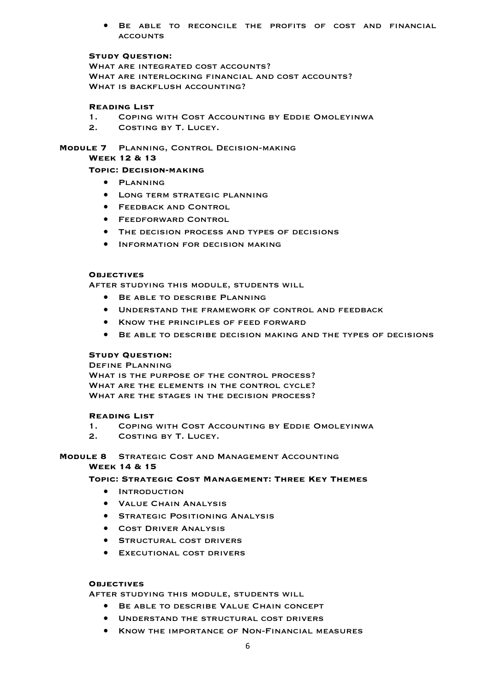• Be able to reconcile the profits of cost and financial **ACCOUNTS** 

#### **Study Question:**

WHAT ARE INTEGRATED COST ACCOUNTS? What are interlocking financial and cost accounts? WHAT IS BACKFLUSH ACCOUNTING?

## **Reading List**

- 1. Coping with Cost Accounting by Eddie Omoleyinwa
- 2. Costing by T. Lucey.

**Module 7** Planning, Control Decision-making

**Week 12 & 13**

## **Topic: Decision-making**

- Planning
- Long term strategic planning
- **FEEDBACK AND CONTROL**
- Feedforward Control
- The decision process and types of decisions
- Information for decision making

#### **Objectives**

After studying this module, students will

- **BE ABLE TO DESCRIBE PLANNING**
- Understand the framework of control and feedback
- Know the principles of feed forward
- Be able to describe decision making and the types of decisions

## **Study Question:**

Define Planning WHAT IS THE PURPOSE OF THE CONTROL PROCESS? WHAT ARE THE ELEMENTS IN THE CONTROL CYCLE? WHAT ARE THE STAGES IN THE DECISION PROCESS?

## **Reading List**

- 1. Coping with Cost Accounting by Eddie Omoleyinwa
- 2. Costing by T. Lucey.

## **Module 8** Strategic Cost and Management Accounting **Week 14 & 15**

**Topic: Strategic Cost Management: Three Key Themes**

- Introduction
- Value Chain Analysis
- **STRATEGIC POSITIONING ANALYSIS**
- Cost Driver Analysis
- **STRUCTURAL COST DRIVERS**
- Executional cost drivers

#### **Objectives**

After studying this module, students will

- Be able to describe Value Chain concept
- Understand the structural cost drivers
- Know the importance of Non-Financial measures